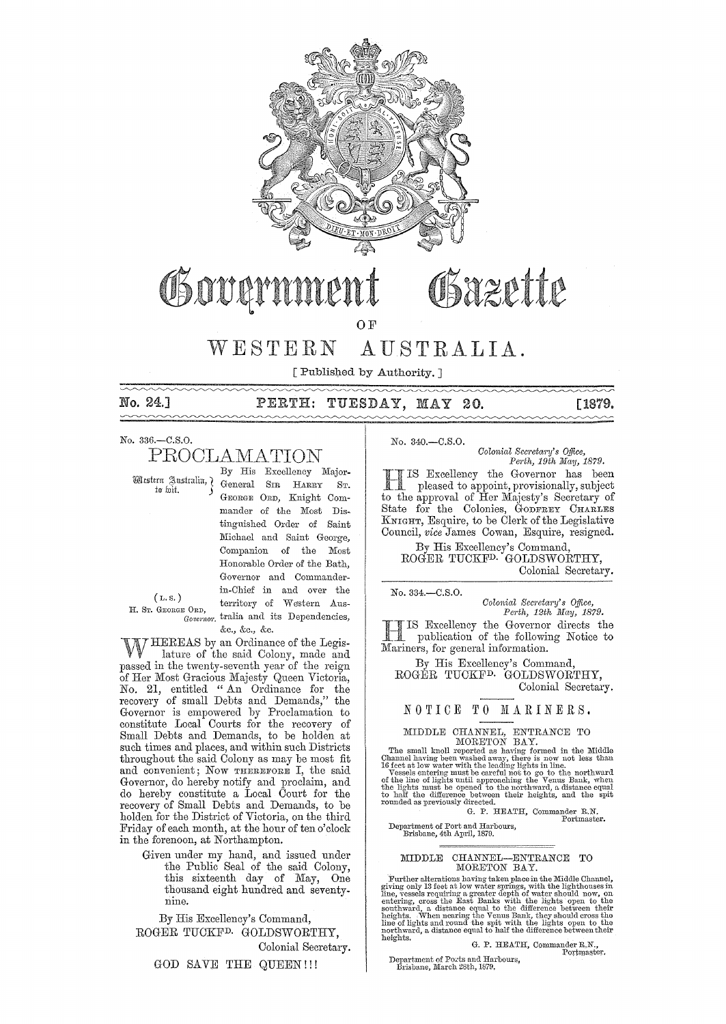

# Osazette Osovarn

 $QF$ 

#### AUSTRALIA.  $W E S T E R N$

[ Published by Authority. ]

No. 24.1

## PERTH: TUESDAY, MAY 20.

[1879.  $\sim$ 

No. 336 .- C.S.O.

# PROCLAMATION

By His Excellency Major-Wlestern Sustralin, General SIR HARRY ST. GEORGE ORD, Knight Commander of the Most Distinguished Order of Saint Michael and Saint George, Companion of the Most Honorable Order of the Bath, Governor and Commanderin-Chief in and over the territory of Western Aus-Governor tralia and its Dependencies, &c., &c., &c.

 $(L.s.)$ H. Sr. GEORGE ORD,

W HEREAS by an Ordinance of the Legis-<br>W lature of the said Colony, made and passed in the twenty-seventh year of the reign of Her Most Gracious Majesty Queen Victoria,<br>No. 21, entitled " An Ordinance for the<br>recovery of small Debts and Demands," the Governor is empowered by Proclamation to constitute Local Courts for the recovery of Small Debts and Demands, to be holden at such times and places, and within such Districts throughout the said Colony as may be most fit and convenient; Now THEREFORE I, the said Governor, do hereby notify and proclaim, and<br>do hereby constitute a Local Court for the recovery of Small Debts and Demands, to be holden for the District of Victoria, on the third Friday of each month, at the hour of ten o'clock in the forenoon, at Northampton.

Given under my hand, and issued under the Public Seal of the said Colony, this sixteenth day of May, One thousand eight hundred and seventynine.

By His Excellency's Command,

ROGER TUCKF<sup>D.</sup> GOLDSWORTHY, Colonial Secretary.

GOD SAVE THE QUEEN !!!

No. 340.-C.S.O.

Colonial Secretary's Office, Perth, 19th May, 1879.

THIS Excellency the Governor may be pleased to appoint, provisionally, subject to the approval of Her Majesty's Secretary of IS Excellency the Governor has been State for the Colonies, GODFREY CHARLES KNIGHT, Esquire, to be Clerk of the Legislative Council, vice James Cowan, Esquire, resigned.

By His Excellency's Command, ROGER TUCKF<sup>D.</sup> GOLDSWORTHY, Colonial Secretary.

No. 334.-C.S.O.

Colonial Secretary's Office,<br>Perth, 12th May, 1879.

IS Excellency the Governor directs the publication of the following Notice to Mariners, for general information.

By His Excellency's Command, ROGER TUCKF<sup>D.</sup> GOLDSWORTHY, Colonial Secretary.

#### NOTICE TO MARINERS.

MIDDLE CHANNEL, ENTRANCE TO<br>
MORETON BAY.<br>
The small knoll reported as having formed in the Middle<br>
Channel having been washed away, there is now not less than<br>
16 feet at low water with the leading lights in line.<br>
Vesse

G. P. HEATH, Commander R.N.<br>Portmaster.

Department of Port and Harbours,<br>Brisbane, 4th April, 1879.

#### MIDDLE CHANNEL-ENTRANCE TO MORETON BAY.

Further alterations having taken place in the Middle Channel,<br>giving only 13 feet at low water springs, with the lighthouses in<br>line, vessels requiring a greater depth of water should now, on<br>entering, cross the East Eank

G. P. HEATH, Commander R.N.,<br>Portmaster.

Department of Ports and Harbours,<br>Brisbane, March 28th, 1879.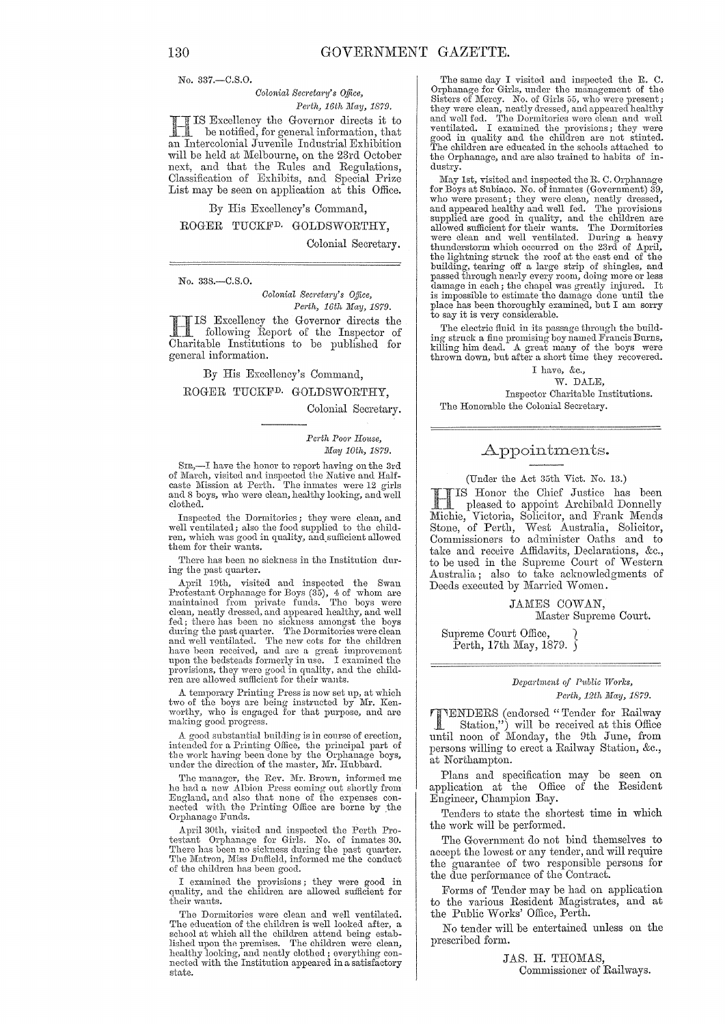No. 337,-C.S.O.

#### $Colonial$  Secretary's Office, *Perth, 16th May, 1879.*

Excellency the Governor directs it to be notified, for general information, that an Intercolonial Juvenile Industrial Exhibition will be held at Melbourne, on the 23rd October next, and that the Rules and Regulations, Classification of Exhibits, and Special Prize List may be seen on application at this Office.

### By His Excellency's Command, ROGER TUCKED. GOLDSWORTHY,

Colonial Secretary.

No. 338.-C.S.0.

*Colonial Secretary's Ojjice,*  Perth, 16th May, 1879.

IIS Excellency the Governor directs the following Report of the Inspector of Charitable Institutions to be published for IS Excellency the Governor directs the following Report of the Inspector of general information.

By His Excellency's Oommand, ROGER TUOKFD. GOLDSWORTHY,

Colonial Secretary.

*Perth POOl' House, May 10th, 1879.* 

SIR,—I have the honor to report having on the 3rd of March, visited and inspected the Native and Half-caste Mission at Perth. The inmates were 12 girls and 8 boys, who were clean, healthy looking, and well clothed.

Inspected the Dormitories; they were clean, and well ventilated; also the food supplied to the children, which was good in quality, and. sufficient allowed them for their wants.

There has been no sickness in the Institution during the past quarter.

April 10th, visited and inspected the Swan Protestant Orphanage for Boys (35), 4 of whom are maintained from private funds. The boys were clean, neatly dressed, and appeared healthy, and well fed; there has been no sickness amongst the boys<br>during the past quarter. The Dormitories were clean<br>and well ventilated. The new cots for the children<br>have been received, and are a great improvement<br>upon the bedsteads for

A temporary Printing Press is now set up, at which two of the boys are being instructed by Mr. Kenworthy, who is engaged for that purpose, and are making good progress.

A good substantial building is in course of erection, intended for a Printing Office, the principal part of the work having been done by the Orphanage boys, under the direction of thc master, Mr. Hubbard.

The manager, the Rev. Mr. Brown, informed me hc had a new Albion Press coming' out shortly from Engla,ncl, and also that none of the expenses con-nected with the Printing Office are borne by ,the Orphanage Funds.

April 30th, visited and inspected the Perth Pro-<br>testant Orphanage for Girls. No. of inmates 30.<br>There has been no sickness during the past quarter.<br>The Matron, Miss Duffield, informed me the conduct of the children has been good.

I examined the provisions; they were good in quality, and the children are allowed sufficient for their wants.

The Dormitories were clean and well ventilated. The education of the children is well looked after, a school at which all the children attend being established upon the premises. The children were clean, healthy looking, and neatly clothed; everything connected with the Institution appeared in a satisfactory state.

The same day I visited and inspected the R. C. Orphanage for Girls, under the management of the Sisters of Mercy. No. of Girls 55, who were present; they were clean, neatly dressed, and appeared healthy<br>and well fed. The Dormitories were clean and well<br>ventilated. I examined the provisions; they were<br>good in quality and the children are not stinted.<br>The children are ed the Orphanage, and are also trained to habits of industry.

May 1st, visited and inspected the R. C. Orphanage<br>for Boys at Subiaco. No. of inmates (Government) 39,<br>who were present; they were clean, nearly dressed,<br>and appeared healthy and well fed. The provisions<br>supplied are good passed through nearly every room, doing more or less damage in each; the chapel was greatly injured. It is impossible to estimate the damage clone until the place has been thoroughly examined, but I am sorry to say it is very considerable.

The electric fluid in its passage through the building struck a fine promising boy named Francis Burns, killing him dead. A great many of the boys were thrown down, but after a short time they recovered.

I have, &c., W. DALE, Inspector Charitable Institutions. The Honorable the Colonial Secretary.

#### Appointments.

#### (Under the Act 35th Vict. No. 13.)

IS Honor the Chief Justice has been pleased to appoint Archihald Donnelly Michie, Victoria, Solicitor, and Frank Mends Stone, of Perth, West Australia, Solicitor, Oommissioners to administer Oaths and to take and receive Affidavits, Declarations, &c., to be used in the Supreme Court of Western Australia; also to take acknowledgments of Deeds executed by Married Women.

> JAMES COWAN, Master Supreme Court.

Supreme Court Office, 1 Perth, 17th May, 1879.  $\overline{\ }$ 

#### *Depco1·trnent of 1'1tblic TVorks, Perth, 12th lfIay, 1879.*

#### 'l'iENDERS (enc1orsec1 "Tender for Railway Station,") will be received at this Office until noon of Monday, the 9th June, from persons willing to erect a Railway Station, &c.,

at Northampton. Plans and specification may be seen on application at the Office of' the Resident Engineer, Champion Bay.

Tenders to state the shortest time in which the work will be performed.

The Government do not bind themselves to accept the lowest or any tender, and will require the guarantee of two responsible persons for the due performance of the Contract.

Forms of Tender may be had on application to the various Resident Magistrates, and at the Public Works' Office, Perth.

No tender will be entertained unless on the prescribed form.

> JAS. H. THOMAS, Commissioner of Railways.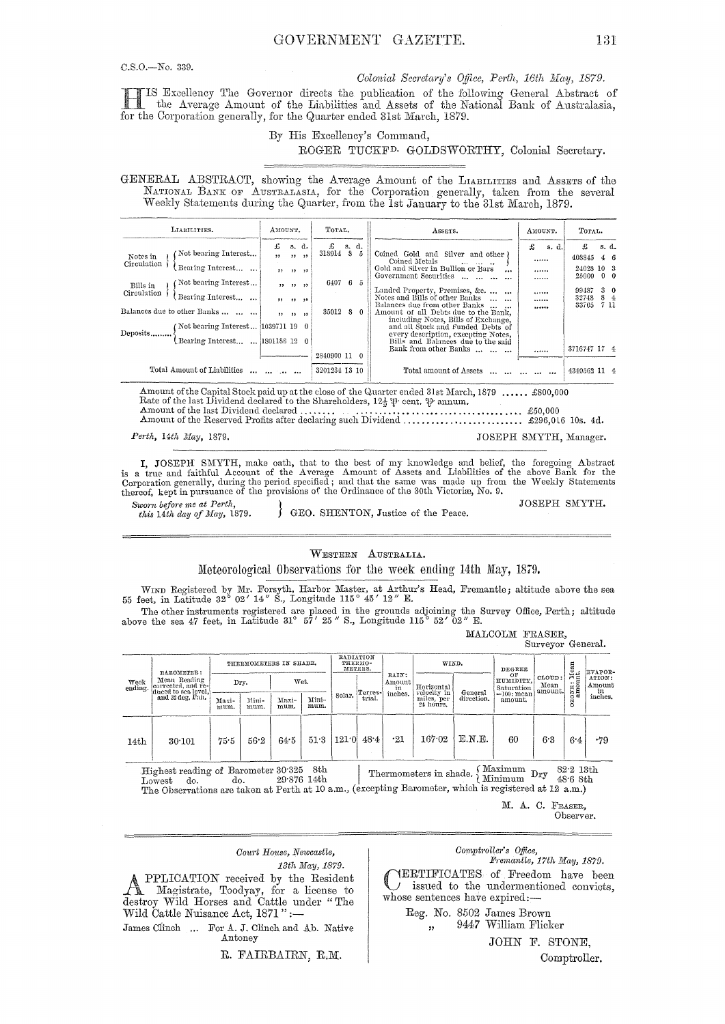$C.S.O.$  No. 339.

Colonial Secretary's Office, Perth, 16th May, 1879.

IS Excellency The Governor directs the publication of the following General Abstract of the Average Amount of the Liabilities and Assets of the National Bank of Australasia, for the Corporation generally, for the Quarter ended 31st March, 1879.

#### By His Excellency's Command, ROGER TUCKF<sup>D.</sup> GOLDSWORTHY, Colonial Secretary.

GENERAL ABSTRACT, showing the Average Amount of the LIABILITIES and ASSETS of the NATIONAL BANK OF AUSTRALASIA, for the Corporation generally, taken from the several Weekly Statements during the Quarter, from the 1st January to the 31st March, 1879.

| LIABILITIES.                                                                                                                                                                                                                                                    | AMOUNT.             |                                                               | TOTAL.                               |       |          | ASSETS.                                                                                                                                                                                                                                                                                                                                                                                                                                                                   | AMOUNT.                       | TOTAL. |                                                                               |      |                                                    |
|-----------------------------------------------------------------------------------------------------------------------------------------------------------------------------------------------------------------------------------------------------------------|---------------------|---------------------------------------------------------------|--------------------------------------|-------|----------|---------------------------------------------------------------------------------------------------------------------------------------------------------------------------------------------------------------------------------------------------------------------------------------------------------------------------------------------------------------------------------------------------------------------------------------------------------------------------|-------------------------------|--------|-------------------------------------------------------------------------------|------|----------------------------------------------------|
| Not bearing Interest<br>Notes in<br>Circulation<br>Bearing Interest<br>Not bearing Interest<br>Bills in<br>Circulation<br>Bearing Interest<br>Balances due to other Banks<br>(Not bearing Interest [1039711 19 0<br>Deposits<br>Bearing Interest   1801188 12 0 | £<br>, ,<br>$\cdot$ | s. d.<br>22.22<br>$, , \, , \,$<br>55 35 35<br>$99 - 99 - 99$ | £<br>318914 8<br>6407 6 5<br>35012 8 | s. d. | 5<br>- 0 | Coined Gold and Silver and other )<br>Coined Metals<br>Gold and Silver in Bullion or Bars<br>$\cdots$<br>Government Securities<br>Landed Property, Premises, &c.<br>Notes and Bills of other Banks<br>Balances due from other Banks<br>$\cdots$<br>Amount of all Debts due to the Bank,<br>including Notes. Bills of Exchange.<br>and all Stock and Funded Debts of<br>every description, excepting Notes,<br>Bills and Balances due to the said<br>Bank from other Banks | £<br><br><br><br><br><br><br> | s. d.  | £<br>408845<br>24028 10 3<br>25000<br>99487<br>32748<br>33705<br>3716747 17 4 | 7 11 | s. d.<br>46<br>$0 \quad 0$<br>3 <sub>0</sub><br>84 |
| Total Amount of Liabilities                                                                                                                                                                                                                                     | and the first and   |                                                               | 2840900 11 0<br>3201234 13 10        |       |          | Total amount of Assets                                                                                                                                                                                                                                                                                                                                                                                                                                                    |                               |        | 4340562 11 4                                                                  |      |                                                    |

Amount of the Capital Stock paid up at the close of the Quarter ended 31st March, 1879 ...... £800,000<br>Rate of the last Dividend declared to the Shareholders,  $12\frac{1}{2}\psi$  cent.  $\psi$  annum. Amount of the last Dividend declared ....... 

Perth, 14th May, 1879.

JOSEPH SMYTH, Manager.

I, JOSEPH SMYTH, make oath, that to the best of my knowledge and belief, the foregoing Abstract<br>is a true and faithful Account of the Average Amount of Assets and Liabilities of the above Bank for the<br>Corporation generally

Sworn before me at Perth, this 14th day of May, 1879.

GEO. SHENTON, Justice of the Peace.

JOSEPH SMYTH.

#### WESTERN AUSTRALIA.

Meteorological Observations for the week ending 14th May, 1879.

WIND Registered by Mr. Forsyth, Harbor Master, at Arthur's Head, Fremantle; altitude above the sea 55 feet, in Latitude 32° 02' 14" S., Longitude 115° 45' 12" E.

The other instruments registered are placed in the grounds adjoining the Survey Office, Perth; altitude above the sea 47 feet, in Latitude 31° 57' 25" S., Longitude 115° 52' 02" E.

MALCOLM FRASER,  $\operatorname{Survegor}$  General.

| Week<br>ending.  | BAROMETER:                                                                    | THERMOMETERS IN SHADE. |               |               |               | RADIATION<br>THERMO-<br>METERS. |         |                                  | WIND.                     |            | DEGREE<br>ΟF             |                                                      |                       | EVAPOR-                           |
|------------------|-------------------------------------------------------------------------------|------------------------|---------------|---------------|---------------|---------------------------------|---------|----------------------------------|---------------------------|------------|--------------------------|------------------------------------------------------|-----------------------|-----------------------------------|
|                  | Mean Reading<br>corrected, and re-<br>duced to sea level,<br>and 32 deg. Fah. | Dry.                   |               | Wet.          |               |                                 | Terres- | RAIN:<br>Amount<br>in<br>inches. | Horizontal<br>velocity in | General    |                          | CLOUD:<br>HUMIDITY.<br>Mean<br>Saturation<br>amount. | CONE: Mean<br>amount. | ATION:<br>Amount<br>in<br>inches. |
|                  |                                                                               | Maxi-<br>mum.          | Mini-<br>mum. | Maxi-<br>mum. | Mini-<br>mum. | Solar.                          | trial.  |                                  | miles, per<br>24 hours.   | direction. | $=100$ : mean<br>amount. |                                                      | និ                    |                                   |
| 14 <sub>th</sub> | 30:101                                                                        | 75.5                   | 56.2          | 64.5          | 51.3          | 121.0                           | 48.4    | $\cdot$ 21                       | 167.02                    | E.N.E.     | 60                       | 6.3                                                  | 6.4                   | .79                               |

Highest reading of Barometer 30.325 8th<br>Lowest do. about 29.876 14th Lowest do.

Thermometers in shade.  $\left\{\begin{array}{ll} \text{Maximum} & \text{Dry} & \text{82-2 13th} \\ \text{Minimum} & \text{Dry} & \text{48-6 8th} \end{array}\right.$ The Observations are taken at Perth at 10 a.m., (excepting Barometer, which is registered at 12 a.m.)

> M. A. C. FRASER, Observer.

#### Court House, Newcastle, 13th May, 1879.

PPLICATION received by the Resident Magistrate, Toodyay, for a license to destroy Wild Horses and Cattle under "The Wild Cattle Nuisance Act, 1871":-

James Clinch ... For A. J. Clinch and Ab. Native Antoney

R. FAIRBAIRN, R.M.

#### Comptroller's Office,

Fremantle, 17th May, 1879. YERTIFICATES of Freedom have been issued to the undermentioned convicts, whose sentences have expired:-

Reg. No. 8502 James Brown  $\overline{\mathbf{z}}$ 

9447 William Flicker

JOHN F. STONE,

Comptroller.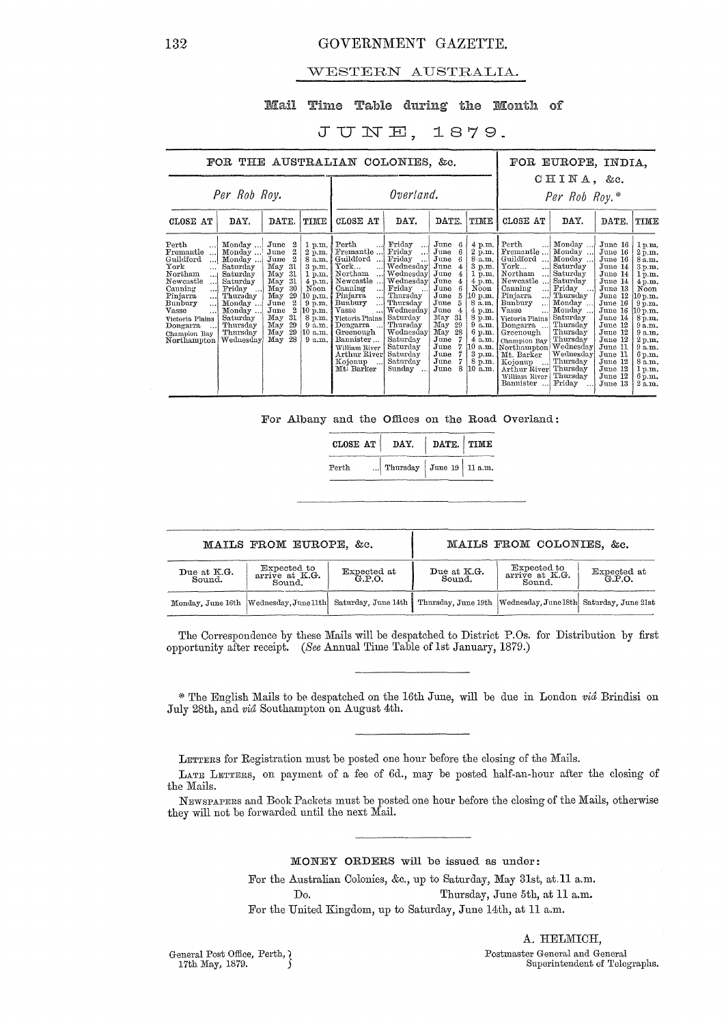#### WESTERN AUSTRALIA.

#### Mail Time Table during the Month of

#### JUNE, 1879.

|                                                                                                                                                                                                                                           | FOR THE AUSTRALIAN COLONIES, &c.                                                                                                                                      |                                                                                                                                                                                                                        |                                                                                                                                                                                             |                                                                                                                                                                                                                                                                                                                  |                                                                                                                                                                                                                                             |                                                                                                                                                                                                                                                                               |                                                                                                                                                                                   |                                                                                                                                                                                                                                                                                                                                                                                                            | FOR EUROPE, INDIA.                                                                                                                                                                                                                                         |                                                                                                                                                                                                                          |                                                                                                                                                                                                  |
|-------------------------------------------------------------------------------------------------------------------------------------------------------------------------------------------------------------------------------------------|-----------------------------------------------------------------------------------------------------------------------------------------------------------------------|------------------------------------------------------------------------------------------------------------------------------------------------------------------------------------------------------------------------|---------------------------------------------------------------------------------------------------------------------------------------------------------------------------------------------|------------------------------------------------------------------------------------------------------------------------------------------------------------------------------------------------------------------------------------------------------------------------------------------------------------------|---------------------------------------------------------------------------------------------------------------------------------------------------------------------------------------------------------------------------------------------|-------------------------------------------------------------------------------------------------------------------------------------------------------------------------------------------------------------------------------------------------------------------------------|-----------------------------------------------------------------------------------------------------------------------------------------------------------------------------------|------------------------------------------------------------------------------------------------------------------------------------------------------------------------------------------------------------------------------------------------------------------------------------------------------------------------------------------------------------------------------------------------------------|------------------------------------------------------------------------------------------------------------------------------------------------------------------------------------------------------------------------------------------------------------|--------------------------------------------------------------------------------------------------------------------------------------------------------------------------------------------------------------------------|--------------------------------------------------------------------------------------------------------------------------------------------------------------------------------------------------|
|                                                                                                                                                                                                                                           | Per Rob Roy.                                                                                                                                                          |                                                                                                                                                                                                                        |                                                                                                                                                                                             |                                                                                                                                                                                                                                                                                                                  | Overland.                                                                                                                                                                                                                                   |                                                                                                                                                                                                                                                                               |                                                                                                                                                                                   | CHINA, &c.<br>Per Rob Roy.*                                                                                                                                                                                                                                                                                                                                                                                |                                                                                                                                                                                                                                                            |                                                                                                                                                                                                                          |                                                                                                                                                                                                  |
| CLOSE AT                                                                                                                                                                                                                                  | DAY.                                                                                                                                                                  | DATE.                                                                                                                                                                                                                  | TIME                                                                                                                                                                                        | CLOSE AT                                                                                                                                                                                                                                                                                                         | DAY.                                                                                                                                                                                                                                        | DATE.                                                                                                                                                                                                                                                                         | TIME                                                                                                                                                                              | CLOSE AT                                                                                                                                                                                                                                                                                                                                                                                                   | DAY.                                                                                                                                                                                                                                                       | DATE.                                                                                                                                                                                                                    | TIME                                                                                                                                                                                             |
| Perth<br>Fremantle<br>. !<br>Guildford<br>ا<br>York<br>$\cdots$<br>Northam<br><br>Newcastle<br>. 1<br>Canning<br><br>Pinjarra<br>[<br>Bunbury<br><br>Vasse<br>.<br>Victoria Plains<br>Dongarra<br>$\cdots$<br>Champion Bay<br>Northampton | Monday<br>Monday<br>Monday<br>Saturday<br>Saturday<br>Saturday<br>Friday<br>$\cdots$<br>Thursday<br>Monday<br>Monday<br>Saturday<br>Thursday<br>Thursday<br>Wednesday | June<br>2<br>$\,2$<br>June<br>$\overline{2}$<br>June<br>-31<br>May<br>31<br>May<br>31<br>May<br>30<br>May<br>29<br>May<br>$^{2}$<br>June<br>$\overline{2}$<br>June<br>31<br>May<br>29<br>May<br>29<br>May<br>28<br>May | 1 p.m.<br>$2$ p.m.<br>8 a.m.<br>$3 \text{ p.m.}$<br>$1 \, \mathrm{p.m.}$<br>$4$ p.m.<br>Noon<br>(10 p.m. )<br>$9 \overline{\text{p.m.}}$<br>10 p.m.<br>8 p.m.<br>9 a.m.<br>10 a.m.<br>9a.m. | Perth<br>Fremantle<br>Guildford<br>$\ddotsc$<br>${\tt York}$<br>$\ldots$<br>Northam<br>!<br>Newcastle<br>Canning<br>$\ddotsc$<br>Pinjarra<br><br>Bunbury<br>!<br>Vasse<br>$\ddotsc$<br>Victoria Plains<br>Dongarra<br>Greenough<br>Bannister<br>William River<br>Arthur River<br>Kojonup<br>$\sim$<br>Mt: Barker | Friday<br>$\ddot{\phantom{a}}$<br>Friday<br><br>Friday<br>Wednesday<br>Wednesday<br>Wednesday<br>Friday<br>Thursday<br>Thursday<br>Wednesday<br>Saturdav<br>Thursday<br>Wednesday<br>Saturday<br>Saturday<br>Saturday<br>Saturday<br>Sundav | June<br>6<br>6<br>June<br>June<br>6<br>June<br>$\overline{4}$<br>June<br>$\overline{4}$<br>June<br>4<br>6<br>June<br>5<br>June<br>5<br>June<br>June<br>$\overline{4}$<br>May<br>-31<br>29<br>May<br>May<br>28<br>June<br>7<br>7<br>June<br>June<br>June<br>8<br>$_{\rm June}$ | $4$ p.m.<br>2 p.m.<br>$8 - n.m.$<br>3 p.m.<br>1 p.m.<br>4 p.m.<br>Noon<br>$10$ p.m.<br>8 a.m.<br>4 p.m.<br>8 p.m.<br>$9$ a.m.<br>6 p.m.<br>4a.m.<br>3 p.m.<br>8 p.m.<br>$10$ a.m. | Perth<br>$\ddot{\phantom{a}}$<br>Fremantle<br>Guildford<br>$\ddotsc$<br>${\tt York}$<br>اءء<br>Northam<br>$\ddot{\phantom{a}}$<br>Newcastle<br>Canning<br>$\ddotsc$<br>Pinjarra<br>انت<br>Bunbury<br>$\ddotsc$<br>Vasse<br>$\dddot{\phantom{0}}$<br>Victoria Plains<br>Dongarra<br>Greenough<br>Champion Bay<br>10 a.m. Northampton<br>Mt. Barker<br>Kojonup<br>Arthur River<br>William River<br>Bannister | Monday<br>Monday<br>$\ddotsc$<br>Monday<br>Saturday<br>Saturday<br>Saturday<br>Friday<br>Thursday<br>Monday<br>Monday<br>Saturday<br>Thursday<br>Thursday<br>Thursday<br>Wednesday<br>Wednesday<br>Thursday<br>Thursday<br>Thursday<br>Friday<br>$\ddotsc$ | June 16<br>June 16<br>June 16<br>June 14<br>June 14<br>June 14<br>June 13<br>June 12<br>June 16<br>June 16<br>June 14<br>June 12<br>June 12<br>June 12<br>June 11<br>June 11<br>June 12<br>June 12<br>June 12<br>June 13 | 1 p.m.<br>2 p.m.<br>8 a.m.<br>3 p.m.<br>1 p.m.<br>4p.m.<br>Noon<br>10 p.m.<br>9 p.m.<br>10 p.m.<br>8 p.m.<br>9a.m.<br>9a.m.<br>2 p.m.<br>9a.m.<br>6 p.m.<br>8a.m.<br>1 p.m.<br>$6$ p.m.<br>2a.m. |

For Albany and the Offices on the Road Overland:

| CLOSE AT | DAY.                       | DATE. TIME |  |
|----------|----------------------------|------------|--|
| Perth    | Thursday June 19   11 a.m. |            |  |

|                       | MAILS FROM EUROPE, &c.                                        |                     | MAILS FROM COLONIES, &c. |                                                                  |                    |  |  |  |
|-----------------------|---------------------------------------------------------------|---------------------|--------------------------|------------------------------------------------------------------|--------------------|--|--|--|
| Due at K.G.<br>Sound. | Expected to<br>Expected at G.P.O.<br>arrive at K.G.<br>Sound. |                     | Due at K.G.<br>Sound.    | Expected to<br>arrive at K.G.<br>Sound.                          | Expected at G.P.O. |  |  |  |
|                       | Monday, June 16th Wednesday, June 11th                        | Saturday, June 14th |                          | Thursday, June 19th   Wednesday, June 18th   Saturday, June 21st |                    |  |  |  |

The Correspondence by these Mails will be despatched to District P.Os. for Distribution by first opportunity after receipt. *(See* Annual Time Table oflst January, 1879.)

\* The English Mails to be despatched on the 16th June, will be due in London vid Brindisi on July 28th, and vid Southampton on August 4th.

LETTERS for Registration must be posted one hour before the closing of the Mails.

LATE LETTERS, on payment of a fee of 6d., may be posted half-an-hour after the closing of the Mails.

NEWSPAPERS and Book Packets must be posted one hour before the closing of the Mails, otherwise they will not be forwarded until the next Mail.

MONEY ORDERS will be issued as under:

For the Australian Colonies, &c., up to Saturday, May 31st, at.ll a.m. Do. Thursday, June 5th, at 11 a.m. For the United Kingdom, up to Saturday, June 14th, at 11 a.m.

General Post Office, Perth, )<br>17th May, 1879.

A. HELMICH, Postmaster General and General Superintendent of Telegraphs.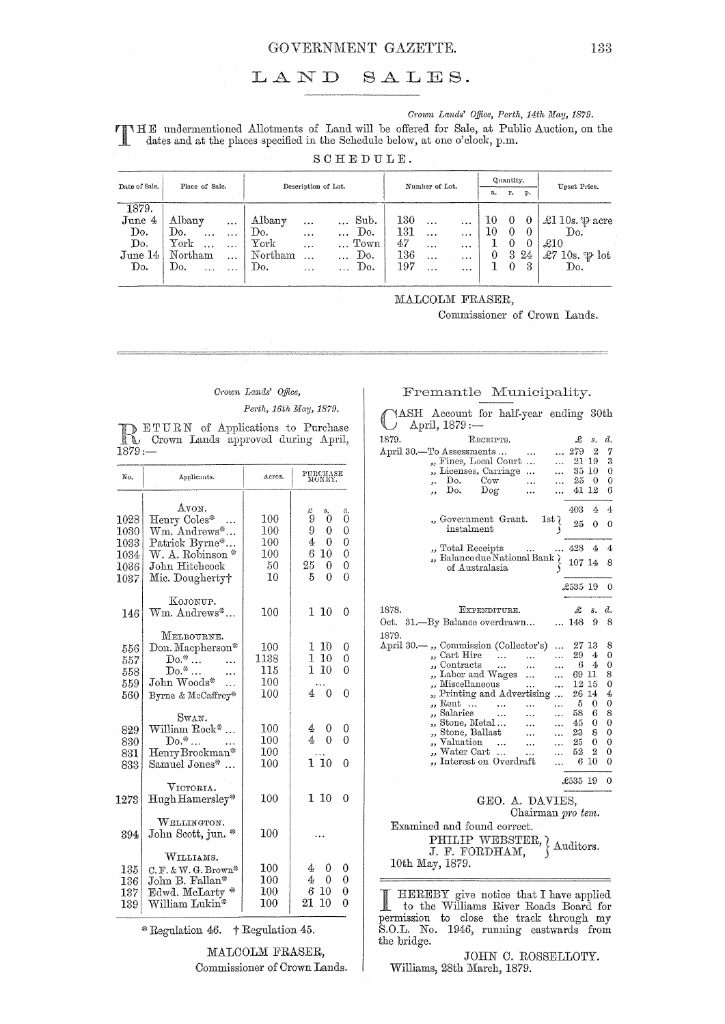#### GOVERNMENT GAZETTE.

#### LAND SALES.

#### Crown Lands' Office, Perth, 14th May, 1879.

FINHE undermentioned Allotments of Land will be offered for Sale, at Public Auction, on the dates and at the places specified in the Schoolule helen at me. dates and at the places specified in the Schedule below, at one o'clock, p.m.

 $S C H E D U L E.$ 

| Date of Sale. | Place of Sale.               | Description of Lot.                     | Number of Lot.                | Quantity.       | Upset Price.               |  |
|---------------|------------------------------|-----------------------------------------|-------------------------------|-----------------|----------------------------|--|
|               |                              |                                         |                               | r. p.<br>a.     |                            |  |
| 1879.         |                              |                                         |                               |                 |                            |  |
| June 4        | Albany<br>                   | Sub.<br>Albany<br>$\ddotsc$<br>         | 130<br>$\ddotsc$<br>$\ddotsc$ | 10 <sub>1</sub> | £1 10s. $\mathcal P$ acre  |  |
| Do.           | Do.<br>$\cdots$<br>$\cdots$  | Do.<br>Do.<br>$\cdots$                  | 131<br>$\cdots$<br>$\cdots$   | 10<br>0         | Do.                        |  |
| Do.           | ${\rm York}$<br>$\ddotsc$    | Town<br>${\rm York}$<br>$\cdots$        | 47<br>$\cdots$<br>$\cdots$    | $\Omega$        | $\pounds10$                |  |
| June 14       | Northam<br>$\cdots$          | Northam<br>Do.<br>$\ddotsc$<br>$\cdots$ | $136\,$<br>$\ddotsc$<br>      | 3<br>24<br>0    | £7 10s. $\mathfrak{P}$ lot |  |
| Do.           | Do.<br>$\cdots$<br>$\ddotsc$ | Do.<br>Do.<br>$\cdots$<br>$\cdots$      | 197<br>$\cdots$<br>           | $\theta$<br>-3  | Do.                        |  |
|               |                              |                                         |                               |                 |                            |  |

MALCOLM FRASER,

Commissioner of Crown Lands.

#### Crown Lands' Office,

Perth, 16th May, 1879.

**DETURN** of Applications to Purchase<br>Crown Lands approved during April,  $1879:$ 

| No.                                          | Applicants.                                                                                                      | Acres.                               | PURCHASE<br>MONEY.                                                                                                              |
|----------------------------------------------|------------------------------------------------------------------------------------------------------------------|--------------------------------------|---------------------------------------------------------------------------------------------------------------------------------|
| 1028<br>1030<br>1033<br>1034<br>1036<br>1037 | AVON.<br>Henry Coles*<br>Wm. Andrews*<br>Patrick Byrne*<br>W. A. Robinson *<br>John Hitchcock<br>Mic. Dougherty† | 100<br>100<br>100<br>100<br>50<br>10 | £<br>s.<br>d.<br>9<br>0<br>0<br>9<br>0<br>$\theta$<br>0<br>4<br>0<br>6<br>10<br>0<br>25.<br>0<br>0<br>$\Omega$<br>5<br>$\theta$ |
| 146                                          | KOJONUP.<br>$Wm.$ Andrews*                                                                                       | 100                                  | $1\,10$<br>0                                                                                                                    |
| 556<br>557<br>558<br>559<br>560              | MELBOURNE.<br>Don. Macpherson*<br>$Do.*$<br>$Do.*$<br>John Woods*<br>Byrne & McCaffrey*                          | 100<br>1138<br>115<br>$100\,$<br>100 | 1 10<br>0<br>L<br>10<br>0<br>10<br>$\mathbf 1$<br>0<br>0<br>40                                                                  |
| 829<br>830<br>831<br>833                     | Swan.<br>William Rock*<br>$\mathrm{Do}.^*$<br>Henry Brockman*<br>Samuel Jones*                                   | 100<br>100<br>100<br>100             | 4<br>0<br>0<br>4<br>$\theta$<br>0<br>110<br>0                                                                                   |
| 1273                                         | VICTORIA.<br>Hugh Hamersley*                                                                                     | $100\,$                              | 1 10<br>0                                                                                                                       |
| 394                                          | WELLINGTON.<br>$\frac{N}{2}$<br>John Scott, jun.                                                                 | $100\,$                              |                                                                                                                                 |
| 135<br>136<br>137<br>139                     | WILLIAMS.<br>$C. F. \& W. G. Brown*$<br>John B. Fallan*<br>Edwd. McLarty<br>William Lukin*                       | 100<br>100<br>100<br>$100\,$         | 4<br>0<br>0<br>0<br>0<br>4.<br>6 10<br>0<br>21<br>$10\,$<br>0                                                                   |

\* Regulation 46. † Regulation 45.

MALCOLM FRASER, Commissioner of Crown Lands.

#### Fremantle Municipality.

|       | ASH Account for half-year ending 30th<br>$April, 1879 :=$ |           |                 |                   |               |             |            |                |
|-------|-----------------------------------------------------------|-----------|-----------------|-------------------|---------------|-------------|------------|----------------|
| 1879. |                                                           | RECEIPTS. |                 |                   |               | £           | s.         | d.             |
|       |                                                           |           |                 |                   |               |             |            | 7              |
|       | April 30.—To Assessments                                  |           |                 |                   |               | 279<br>21   | 2<br>19    | 3              |
|       | "Fines, Local Court                                       |           |                 |                   |               |             |            | $\overline{0}$ |
|       | "Licenses, Carriage                                       | – Cow     |                 | $\cdots$          |               | 25          | 35 10<br>0 | 0              |
|       | Do.<br>Do.                                                |           |                 |                   |               |             | 12         | 6              |
|       | دد                                                        | $\log$    |                 |                   |               | 41          |            |                |
|       |                                                           |           |                 |                   |               | 403         | 4          | 4              |
|       | "Government Grant. 1st<br>instalment                      |           |                 |                   |               | 25          | 0          | 0              |
|       | "Total Receipts                                           |           |                 |                   |               | 428         | 4          | 4              |
|       | Balance due National Bank<br>of Australasia               |           |                 |                   |               | 107 14      |            | 8              |
|       |                                                           |           |                 |                   |               | £535 19     |            | 0              |
| 1878. |                                                           |           | EXPENDITURE.    |                   |               | £           | s.         | d.             |
| Oct.  | 31. - By Balance overdrawn                                |           |                 |                   |               | 148         | 9          | 8              |
| 1879. |                                                           |           |                 |                   |               |             |            |                |
|       | April 30.—, Commission (Collector's)                      |           |                 |                   |               | $27\,$ $13$ |            | 8              |
|       | "Cart Hire                                                |           |                 |                   | .             | 29          | 4          | 0              |
|       | , Contracts                                               |           | $\ddotsc$       |                   |               | 6           | 4          | $\bf{0}$       |
|       | "Labor and Wages                                          |           | $\ddotsc$       | .                 |               | 69 11       |            | 8              |
|       | " Miscellaneous                                           |           |                 |                   | .             | 12 15       |            | 0              |
|       | , Printing and Advertising                                |           |                 |                   |               | 26 14       |            | 4              |
|       | " Rent                                                    |           | $\ddotsc$       |                   | <br>$\ddotsc$ | 5           | 0          | 0              |
|       | ", Salaries                                               |           |                 |                   |               | 58          | 6          | 8              |
|       | "Stone, Metal                                             |           |                 |                   |               | 45          | 0          | 0              |
|       | " Stone, Ballast                                          |           |                 |                   |               | 23          | 8          | 0              |
|       | ", Valuation                                              |           | $\cdots$        | $\cdots$          |               | 25.         | 0          | 0              |
|       | "Water Cart …                                             |           |                 |                   |               | 52          | 2          | 0              |
|       | , Interest on Overdraft                                   |           |                 |                   |               |             | 6 10       | 0              |
|       |                                                           |           |                 |                   |               | £535 19     |            | 0              |
|       |                                                           |           |                 |                   |               |             |            |                |
|       |                                                           |           | GEO. A. DAVIES, | Chairman pro tem. |               |             |            |                |
|       | Examined and found correct.                               |           |                 |                   |               |             |            |                |
|       | PHILIP WEBSTER,<br>J. F. FORDHAM,                         |           |                 |                   |               | Auditors.   |            |                |
|       | 10th May, 1879.                                           |           |                 |                   |               |             |            |                |

HEREBY give notice that I have applied<br>to the Williams River Roads Board for permission to close the track through my S.O.L. No. 1946, running eastwards from the bridge.

JOHN C. ROSSELLOTY. Williams, 28th March, 1879.